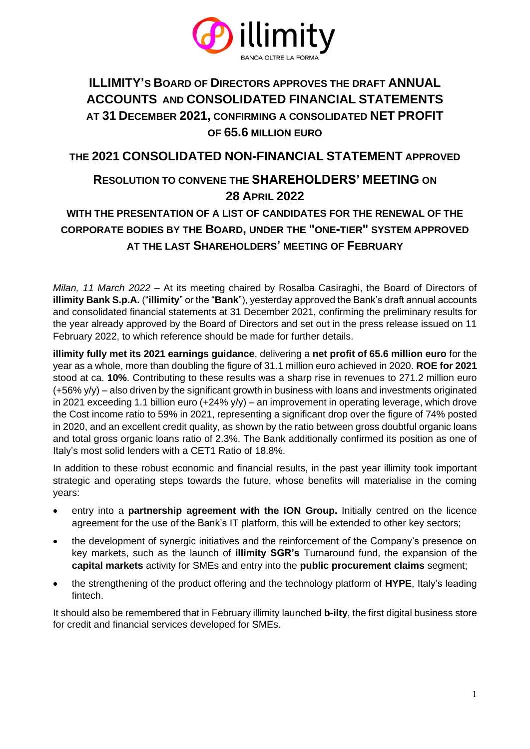

# **ILLIMITY'S BOARD OF DIRECTORS APPROVES THE DRAFT ANNUAL ACCOUNTS AND CONSOLIDATED FINANCIAL STATEMENTS AT 31 DECEMBER 2021, CONFIRMING A CONSOLIDATED NET PROFIT OF 65.6 MILLION EURO**

## **THE 2021 CONSOLIDATED NON-FINANCIAL STATEMENT APPROVED**

## **RESOLUTION TO CONVENE THE SHAREHOLDERS' MEETING ON 28 APRIL 2022**

# **WITH THE PRESENTATION OF A LIST OF CANDIDATES FOR THE RENEWAL OF THE CORPORATE BODIES BY THE BOARD, UNDER THE "ONE-TIER" SYSTEM APPROVED AT THE LAST SHAREHOLDERS' MEETING OF FEBRUARY**

*Milan, 11 March 2022* – At its meeting chaired by Rosalba Casiraghi, the Board of Directors of **illimity Bank S.p.A.** ("**illimity**" or the "**Bank**"), yesterday approved the Bank's draft annual accounts and consolidated financial statements at 31 December 2021, confirming the preliminary results for the year already approved by the Board of Directors and set out in the press release issued on 11 February 2022, to which reference should be made for further details.

**illimity fully met its 2021 earnings guidance**, delivering a **net profit of 65.6 million euro** for the year as a whole, more than doubling the figure of 31.1 million euro achieved in 2020. **ROE for 2021** stood at ca. **10%**. Contributing to these results was a sharp rise in revenues to 271.2 million euro (+56% y/y) – also driven by the significant growth in business with loans and investments originated in 2021 exceeding 1.1 billion euro  $(+24\%)$   $(y)$  – an improvement in operating leverage, which drove the Cost income ratio to 59% in 2021, representing a significant drop over the figure of 74% posted in 2020, and an excellent credit quality, as shown by the ratio between gross doubtful organic loans and total gross organic loans ratio of 2.3%. The Bank additionally confirmed its position as one of Italy's most solid lenders with a CET1 Ratio of 18.8%.

In addition to these robust economic and financial results, in the past year illimity took important strategic and operating steps towards the future, whose benefits will materialise in the coming years:

- entry into a **partnership agreement with the ION Group.** Initially centred on the licence agreement for the use of the Bank's IT platform, this will be extended to other key sectors;
- the development of synergic initiatives and the reinforcement of the Company's presence on key markets, such as the launch of **illimity SGR's** Turnaround fund, the expansion of the **capital markets** activity for SMEs and entry into the **public procurement claims** segment;
- the strengthening of the product offering and the technology platform of **HYPE**, Italy's leading fintech.

It should also be remembered that in February illimity launched **b-ilty**, the first digital business store for credit and financial services developed for SMEs.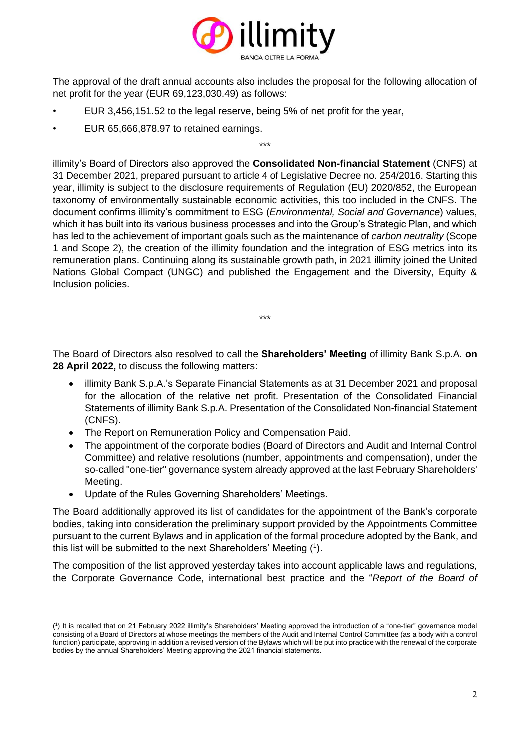

The approval of the draft annual accounts also includes the proposal for the following allocation of net profit for the year (EUR 69,123,030.49) as follows:

\*\*\*

- EUR 3,456,151.52 to the legal reserve, being 5% of net profit for the year,
- EUR 65,666,878.97 to retained earnings.

illimity's Board of Directors also approved the **Consolidated Non-financial Statement** (CNFS) at 31 December 2021, prepared pursuant to article 4 of Legislative Decree no. 254/2016. Starting this year, illimity is subject to the disclosure requirements of Regulation (EU) 2020/852, the European taxonomy of environmentally sustainable economic activities, this too included in the CNFS. The document confirms illimity's commitment to ESG (*Environmental, Social and Governance*) values, which it has built into its various business processes and into the Group's Strategic Plan, and which has led to the achievement of important goals such as the maintenance of *carbon neutrality* (Scope 1 and Scope 2), the creation of the illimity foundation and the integration of ESG metrics into its remuneration plans. Continuing along its sustainable growth path, in 2021 illimity joined the United Nations Global Compact (UNGC) and published the Engagement and the Diversity, Equity & Inclusion policies.

The Board of Directors also resolved to call the **Shareholders' Meeting** of illimity Bank S.p.A. **on 28 April 2022,** to discuss the following matters:

\*\*\*

- illimity Bank S.p.A.'s Separate Financial Statements as at 31 December 2021 and proposal for the allocation of the relative net profit. Presentation of the Consolidated Financial Statements of illimity Bank S.p.A. Presentation of the Consolidated Non-financial Statement (CNFS).
- The Report on Remuneration Policy and Compensation Paid.
- The appointment of the corporate bodies (Board of Directors and Audit and Internal Control Committee) and relative resolutions (number, appointments and compensation), under the so-called "one-tier" governance system already approved at the last February Shareholders' Meeting.
- Update of the Rules Governing Shareholders' Meetings.

The Board additionally approved its list of candidates for the appointment of the Bank's corporate bodies, taking into consideration the preliminary support provided by the Appointments Committee pursuant to the current Bylaws and in application of the formal procedure adopted by the Bank, and this list will be submitted to the next Shareholders' Meeting  $(1)$ .

The composition of the list approved yesterday takes into account applicable laws and regulations, the Corporate Governance Code, international best practice and the "*Report of the Board of* 

<sup>(</sup> 1 ) It is recalled that on 21 February 2022 illimity's Shareholders' Meeting approved the introduction of a "one-tier" governance model consisting of a Board of Directors at whose meetings the members of the Audit and Internal Control Committee (as a body with a control function) participate, approving in addition a revised version of the Bylaws which will be put into practice with the renewal of the corporate bodies by the annual Shareholders' Meeting approving the 2021 financial statements.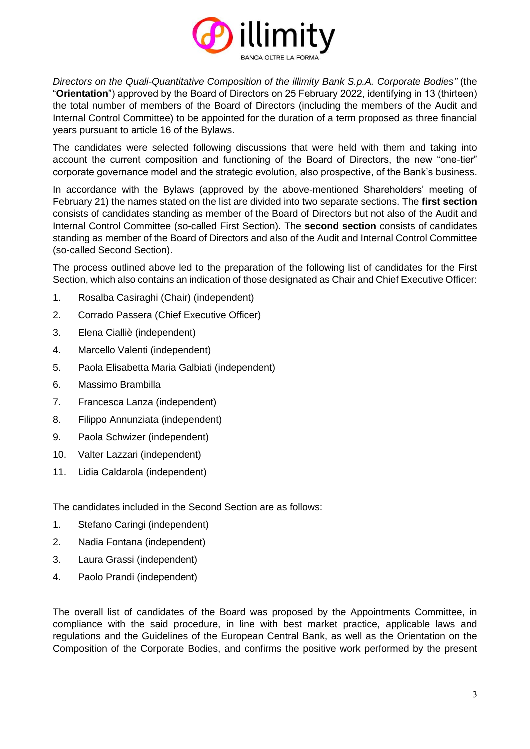

*Directors on the Quali-Quantitative Composition of the illimity Bank S.p.A. Corporate Bodies"* (the "**Orientation**") approved by the Board of Directors on 25 February 2022, identifying in 13 (thirteen) the total number of members of the Board of Directors (including the members of the Audit and Internal Control Committee) to be appointed for the duration of a term proposed as three financial years pursuant to article 16 of the Bylaws.

The candidates were selected following discussions that were held with them and taking into account the current composition and functioning of the Board of Directors, the new "one-tier" corporate governance model and the strategic evolution, also prospective, of the Bank's business.

In accordance with the Bylaws (approved by the above-mentioned Shareholders' meeting of February 21) the names stated on the list are divided into two separate sections. The **first section** consists of candidates standing as member of the Board of Directors but not also of the Audit and Internal Control Committee (so-called First Section). The **second section** consists of candidates standing as member of the Board of Directors and also of the Audit and Internal Control Committee (so-called Second Section).

The process outlined above led to the preparation of the following list of candidates for the First Section, which also contains an indication of those designated as Chair and Chief Executive Officer:

- 1. Rosalba Casiraghi (Chair) (independent)
- 2. Corrado Passera (Chief Executive Officer)
- 3. Elena Cialliè (independent)
- 4. Marcello Valenti (independent)
- 5. Paola Elisabetta Maria Galbiati (independent)
- 6. Massimo Brambilla
- 7. Francesca Lanza (independent)
- 8. Filippo Annunziata (independent)
- 9. Paola Schwizer (independent)
- 10. Valter Lazzari (independent)
- 11. Lidia Caldarola (independent)

The candidates included in the Second Section are as follows:

- 1. Stefano Caringi (independent)
- 2. Nadia Fontana (independent)
- 3. Laura Grassi (independent)
- 4. Paolo Prandi (independent)

The overall list of candidates of the Board was proposed by the Appointments Committee, in compliance with the said procedure, in line with best market practice, applicable laws and regulations and the Guidelines of the European Central Bank, as well as the Orientation on the Composition of the Corporate Bodies, and confirms the positive work performed by the present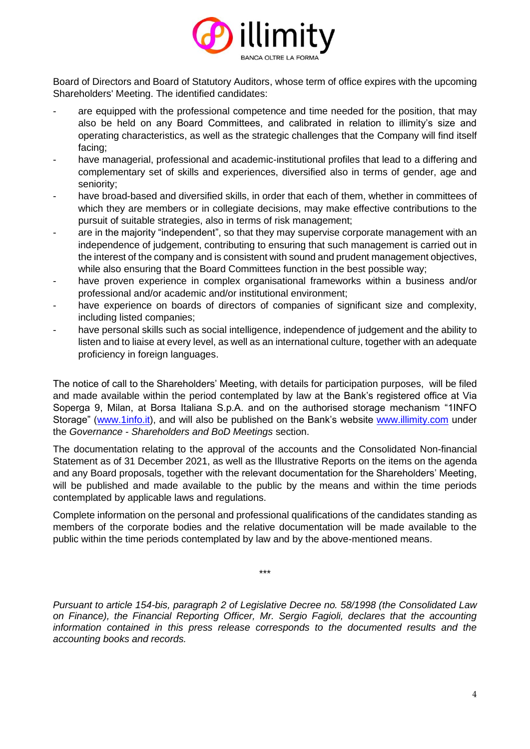

Board of Directors and Board of Statutory Auditors, whose term of office expires with the upcoming Shareholders' Meeting. The identified candidates:

- are equipped with the professional competence and time needed for the position, that may also be held on any Board Committees, and calibrated in relation to illimity's size and operating characteristics, as well as the strategic challenges that the Company will find itself facing;
- have managerial, professional and academic-institutional profiles that lead to a differing and complementary set of skills and experiences, diversified also in terms of gender, age and seniority;
- have broad-based and diversified skills, in order that each of them, whether in committees of which they are members or in collegiate decisions, may make effective contributions to the pursuit of suitable strategies, also in terms of risk management;
- are in the majority "independent", so that they may supervise corporate management with an independence of judgement, contributing to ensuring that such management is carried out in the interest of the company and is consistent with sound and prudent management objectives, while also ensuring that the Board Committees function in the best possible way;
- have proven experience in complex organisational frameworks within a business and/or professional and/or academic and/or institutional environment;
- have experience on boards of directors of companies of significant size and complexity, including listed companies;
- have personal skills such as social intelligence, independence of judgement and the ability to listen and to liaise at every level, as well as an international culture, together with an adequate proficiency in foreign languages.

The notice of call to the Shareholders' Meeting, with details for participation purposes, will be filed and made available within the period contemplated by law at the Bank's registered office at Via Soperga 9, Milan, at Borsa Italiana S.p.A. and on the authorised storage mechanism "1INFO Storage" [\(www.1info.it\)](http://www.1info.it/), and will also be published on the Bank's website [www.illimity.com](http://www.illimity.com/) under the *Governance - Shareholders and BoD Meetings* section.

The documentation relating to the approval of the accounts and the Consolidated Non-financial Statement as of 31 December 2021, as well as the Illustrative Reports on the items on the agenda and any Board proposals, together with the relevant documentation for the Shareholders' Meeting, will be published and made available to the public by the means and within the time periods contemplated by applicable laws and regulations.

Complete information on the personal and professional qualifications of the candidates standing as members of the corporate bodies and the relative documentation will be made available to the public within the time periods contemplated by law and by the above-mentioned means.

\*\*\*

*Pursuant to article 154-bis, paragraph 2 of Legislative Decree no. 58/1998 (the Consolidated Law on Finance), the Financial Reporting Officer, Mr. Sergio Fagioli, declares that the accounting information contained in this press release corresponds to the documented results and the accounting books and records.*